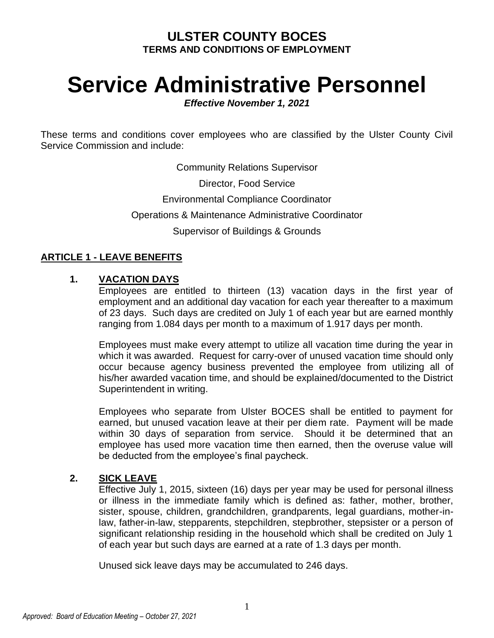# **ULSTER COUNTY BOCES TERMS AND CONDITIONS OF EMPLOYMENT**

# **Service Administrative Personnel**

*Effective November 1, 2021*

These terms and conditions cover employees who are classified by the Ulster County Civil Service Commission and include:

Community Relations Supervisor

Director, Food Service

Environmental Compliance Coordinator

Operations & Maintenance Administrative Coordinator

Supervisor of Buildings & Grounds

# **ARTICLE 1 - LEAVE BENEFITS**

#### **1. VACATION DAYS**

Employees are entitled to thirteen (13) vacation days in the first year of employment and an additional day vacation for each year thereafter to a maximum of 23 days. Such days are credited on July 1 of each year but are earned monthly ranging from 1.084 days per month to a maximum of 1.917 days per month.

Employees must make every attempt to utilize all vacation time during the year in which it was awarded. Request for carry-over of unused vacation time should only occur because agency business prevented the employee from utilizing all of his/her awarded vacation time, and should be explained/documented to the District Superintendent in writing.

Employees who separate from Ulster BOCES shall be entitled to payment for earned, but unused vacation leave at their per diem rate. Payment will be made within 30 days of separation from service. Should it be determined that an employee has used more vacation time then earned, then the overuse value will be deducted from the employee's final paycheck.

# **2. SICK LEAVE**

Effective July 1, 2015, sixteen (16) days per year may be used for personal illness or illness in the immediate family which is defined as: father, mother, brother, sister, spouse, children, grandchildren, grandparents, legal guardians, mother-inlaw, father-in-law, stepparents, stepchildren, stepbrother, stepsister or a person of significant relationship residing in the household which shall be credited on July 1 of each year but such days are earned at a rate of 1.3 days per month.

Unused sick leave days may be accumulated to 246 days.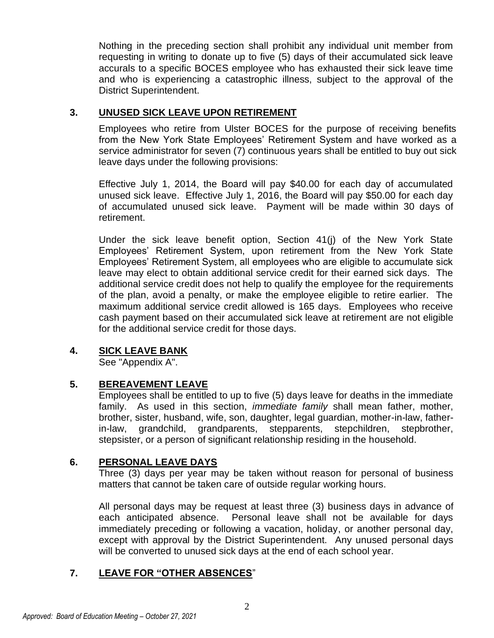Nothing in the preceding section shall prohibit any individual unit member from requesting in writing to donate up to five (5) days of their accumulated sick leave accurals to a specific BOCES employee who has exhausted their sick leave time and who is experiencing a catastrophic illness, subject to the approval of the District Superintendent.

# **3. UNUSED SICK LEAVE UPON RETIREMENT**

Employees who retire from Ulster BOCES for the purpose of receiving benefits from the New York State Employees' Retirement System and have worked as a service administrator for seven (7) continuous years shall be entitled to buy out sick leave days under the following provisions:

Effective July 1, 2014, the Board will pay \$40.00 for each day of accumulated unused sick leave. Effective July 1, 2016, the Board will pay \$50.00 for each day of accumulated unused sick leave. Payment will be made within 30 days of retirement.

Under the sick leave benefit option, Section 41(j) of the New York State Employees' Retirement System, upon retirement from the New York State Employees' Retirement System, all employees who are eligible to accumulate sick leave may elect to obtain additional service credit for their earned sick days. The additional service credit does not help to qualify the employee for the requirements of the plan, avoid a penalty, or make the employee eligible to retire earlier. The maximum additional service credit allowed is 165 days. Employees who receive cash payment based on their accumulated sick leave at retirement are not eligible for the additional service credit for those days.

#### **4. SICK LEAVE BANK**

See "Appendix A".

# **5. BEREAVEMENT LEAVE**

Employees shall be entitled to up to five (5) days leave for deaths in the immediate family. As used in this section, *immediate family* shall mean father, mother, brother, sister, husband, wife, son, daughter, legal guardian, mother-in-law, fatherin-law, grandchild, grandparents, stepparents, stepchildren, stepbrother, stepsister, or a person of significant relationship residing in the household.

# **6. PERSONAL LEAVE DAYS**

Three (3) days per year may be taken without reason for personal of business matters that cannot be taken care of outside regular working hours.

All personal days may be request at least three (3) business days in advance of each anticipated absence. Personal leave shall not be available for days immediately preceding or following a vacation, holiday, or another personal day, except with approval by the District Superintendent. Any unused personal days will be converted to unused sick days at the end of each school year.

# **7. LEAVE FOR "OTHER ABSENCES**"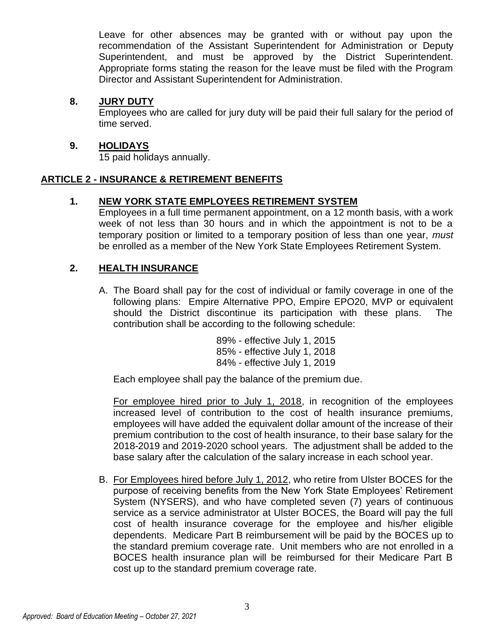Leave for other absences may be granted with or without pay upon the recommendation of the Assistant Superintendent for Administration or Deputy Superintendent, and must be approved by the District Superintendent. Appropriate forms stating the reason for the leave must be filed with the Program Director and Assistant Superintendent for Administration.

#### **8. JURY DUTY**

Employees who are called for jury duty will be paid their full salary for the period of time served.

# **9. HOLIDAYS**

15 paid holidays annually.

# **ARTICLE 2 - INSURANCE & RETIREMENT BENEFITS**

# **1. NEW YORK STATE EMPLOYEES RETIREMENT SYSTEM**

Employees in a full time permanent appointment, on a 12 month basis, with a work week of not less than 30 hours and in which the appointment is not to be a temporary position or limited to a temporary position of less than one year, *must* be enrolled as a member of the New York State Employees Retirement System.

# **2. HEALTH INSURANCE**

A. The Board shall pay for the cost of individual or family coverage in one of the following plans: Empire Alternative PPO, Empire EPO20, MVP or equivalent should the District discontinue its participation with these plans. The contribution shall be according to the following schedule:

> 89% - effective July 1, 2015 85% - effective July 1, 2018 84% - effective July 1, 2019

Each employee shall pay the balance of the premium due.

For employee hired prior to July 1, 2018, in recognition of the employees increased level of contribution to the cost of health insurance premiums, employees will have added the equivalent dollar amount of the increase of their premium contribution to the cost of health insurance, to their base salary for the 2018-2019 and 2019-2020 school years. The adjustment shall be added to the base salary after the calculation of the salary increase in each school year.

B. For Employees hired before July 1, 2012, who retire from Ulster BOCES for the purpose of receiving benefits from the New York State Employees' Retirement System (NYSERS), and who have completed seven (7) years of continuous service as a service administrator at Ulster BOCES, the Board will pay the full cost of health insurance coverage for the employee and his/her eligible dependents. Medicare Part B reimbursement will be paid by the BOCES up to the standard premium coverage rate. Unit members who are not enrolled in a BOCES health insurance plan will be reimbursed for their Medicare Part B cost up to the standard premium coverage rate.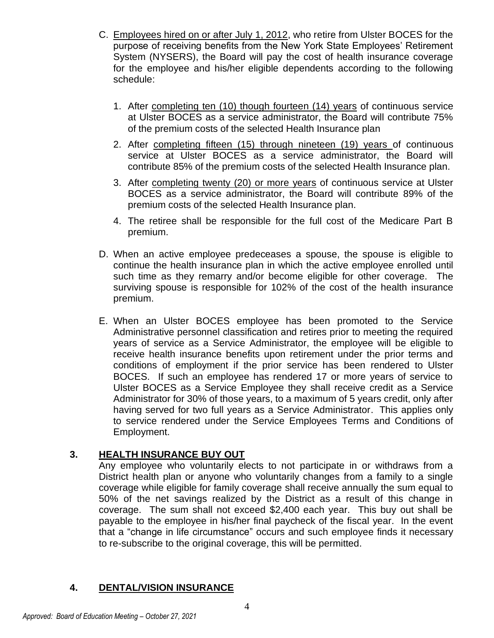- C. Employees hired on or after July 1, 2012, who retire from Ulster BOCES for the purpose of receiving benefits from the New York State Employees' Retirement System (NYSERS), the Board will pay the cost of health insurance coverage for the employee and his/her eligible dependents according to the following schedule:
	- 1. After completing ten (10) though fourteen (14) years of continuous service at Ulster BOCES as a service administrator, the Board will contribute 75% of the premium costs of the selected Health Insurance plan
	- 2. After completing fifteen (15) through nineteen (19) years of continuous service at Ulster BOCES as a service administrator, the Board will contribute 85% of the premium costs of the selected Health Insurance plan.
	- 3. After completing twenty (20) or more years of continuous service at Ulster BOCES as a service administrator, the Board will contribute 89% of the premium costs of the selected Health Insurance plan.
	- 4. The retiree shall be responsible for the full cost of the Medicare Part B premium.
- D. When an active employee predeceases a spouse, the spouse is eligible to continue the health insurance plan in which the active employee enrolled until such time as they remarry and/or become eligible for other coverage. The surviving spouse is responsible for 102% of the cost of the health insurance premium.
- E. When an Ulster BOCES employee has been promoted to the Service Administrative personnel classification and retires prior to meeting the required years of service as a Service Administrator, the employee will be eligible to receive health insurance benefits upon retirement under the prior terms and conditions of employment if the prior service has been rendered to Ulster BOCES. If such an employee has rendered 17 or more years of service to Ulster BOCES as a Service Employee they shall receive credit as a Service Administrator for 30% of those years, to a maximum of 5 years credit, only after having served for two full years as a Service Administrator. This applies only to service rendered under the Service Employees Terms and Conditions of Employment.

# **3. HEALTH INSURANCE BUY OUT**

Any employee who voluntarily elects to not participate in or withdraws from a District health plan or anyone who voluntarily changes from a family to a single coverage while eligible for family coverage shall receive annually the sum equal to 50% of the net savings realized by the District as a result of this change in coverage. The sum shall not exceed \$2,400 each year. This buy out shall be payable to the employee in his/her final paycheck of the fiscal year. In the event that a "change in life circumstance" occurs and such employee finds it necessary to re-subscribe to the original coverage, this will be permitted.

#### **4. DENTAL/VISION INSURANCE**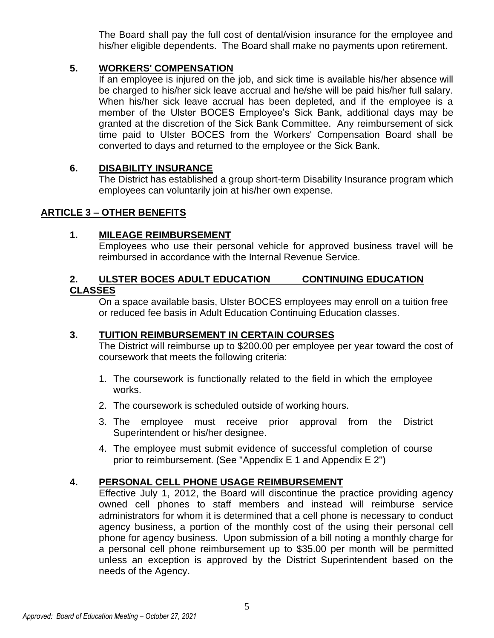The Board shall pay the full cost of dental/vision insurance for the employee and his/her eligible dependents. The Board shall make no payments upon retirement.

# **5. WORKERS' COMPENSATION**

If an employee is injured on the job, and sick time is available his/her absence will be charged to his/her sick leave accrual and he/she will be paid his/her full salary. When his/her sick leave accrual has been depleted, and if the employee is a member of the Ulster BOCES Employee's Sick Bank, additional days may be granted at the discretion of the Sick Bank Committee. Any reimbursement of sick time paid to Ulster BOCES from the Workers' Compensation Board shall be converted to days and returned to the employee or the Sick Bank.

#### **6. DISABILITY INSURANCE**

The District has established a group short-term Disability Insurance program which employees can voluntarily join at his/her own expense.

#### **ARTICLE 3 – OTHER BENEFITS**

#### **1. MILEAGE REIMBURSEMENT**

Employees who use their personal vehicle for approved business travel will be reimbursed in accordance with the Internal Revenue Service.

#### **2. ULSTER BOCES ADULT EDUCATION CONTINUING EDUCATION CLASSES**

On a space available basis, Ulster BOCES employees may enroll on a tuition free or reduced fee basis in Adult Education Continuing Education classes.

#### **3. TUITION REIMBURSEMENT IN CERTAIN COURSES**

The District will reimburse up to \$200.00 per employee per year toward the cost of coursework that meets the following criteria:

- 1. The coursework is functionally related to the field in which the employee works.
- 2. The coursework is scheduled outside of working hours.
- 3. The employee must receive prior approval from the District Superintendent or his/her designee.
- 4. The employee must submit evidence of successful completion of course prior to reimbursement. (See "Appendix E 1 and Appendix E 2")

# **4. PERSONAL CELL PHONE USAGE REIMBURSEMENT**

Effective July 1, 2012, the Board will discontinue the practice providing agency owned cell phones to staff members and instead will reimburse service administrators for whom it is determined that a cell phone is necessary to conduct agency business, a portion of the monthly cost of the using their personal cell phone for agency business. Upon submission of a bill noting a monthly charge for a personal cell phone reimbursement up to \$35.00 per month will be permitted unless an exception is approved by the District Superintendent based on the needs of the Agency.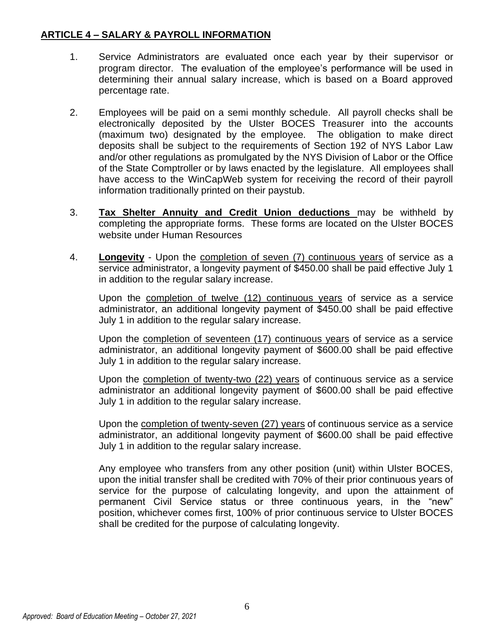# **ARTICLE 4 – SALARY & PAYROLL INFORMATION**

- 1. Service Administrators are evaluated once each year by their supervisor or program director. The evaluation of the employee's performance will be used in determining their annual salary increase, which is based on a Board approved percentage rate.
- 2. Employees will be paid on a semi monthly schedule. All payroll checks shall be electronically deposited by the Ulster BOCES Treasurer into the accounts (maximum two) designated by the employee. The obligation to make direct deposits shall be subject to the requirements of Section 192 of NYS Labor Law and/or other regulations as promulgated by the NYS Division of Labor or the Office of the State Comptroller or by laws enacted by the legislature. All employees shall have access to the WinCapWeb system for receiving the record of their payroll information traditionally printed on their paystub.
- 3. **Tax Shelter Annuity and Credit Union deductions** may be withheld by completing the appropriate forms. These forms are located on the Ulster BOCES website under Human Resources
- 4. **Longevity** Upon the completion of seven (7) continuous years of service as a service administrator, a longevity payment of \$450.00 shall be paid effective July 1 in addition to the regular salary increase.

Upon the completion of twelve (12) continuous years of service as a service administrator, an additional longevity payment of \$450.00 shall be paid effective July 1 in addition to the regular salary increase.

Upon the completion of seventeen (17) continuous years of service as a service administrator, an additional longevity payment of \$600.00 shall be paid effective July 1 in addition to the regular salary increase.

Upon the completion of twenty-two (22) years of continuous service as a service administrator an additional longevity payment of \$600.00 shall be paid effective July 1 in addition to the regular salary increase.

Upon the completion of twenty-seven (27) years of continuous service as a service administrator, an additional longevity payment of \$600.00 shall be paid effective July 1 in addition to the regular salary increase.

Any employee who transfers from any other position (unit) within Ulster BOCES, upon the initial transfer shall be credited with 70% of their prior continuous years of service for the purpose of calculating longevity, and upon the attainment of permanent Civil Service status or three continuous years, in the "new" position, whichever comes first, 100% of prior continuous service to Ulster BOCES shall be credited for the purpose of calculating longevity.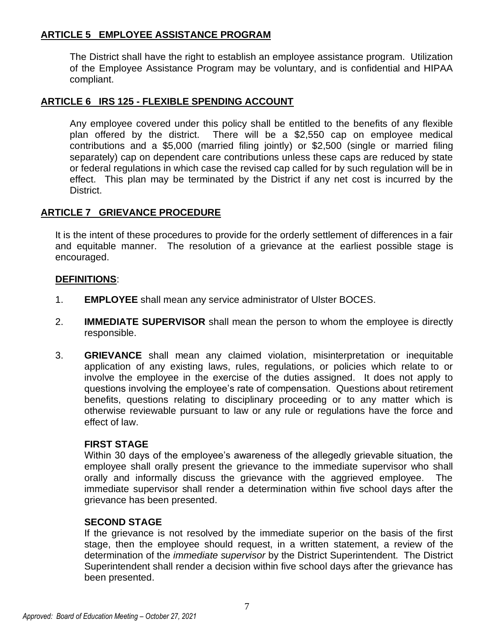# **ARTICLE 5 EMPLOYEE ASSISTANCE PROGRAM**

The District shall have the right to establish an employee assistance program. Utilization of the Employee Assistance Program may be voluntary, and is confidential and HIPAA compliant.

# **ARTICLE 6 IRS 125 - FLEXIBLE SPENDING ACCOUNT**

Any employee covered under this policy shall be entitled to the benefits of any flexible plan offered by the district. There will be a \$2,550 cap on employee medical contributions and a \$5,000 (married filing jointly) or \$2,500 (single or married filing separately) cap on dependent care contributions unless these caps are reduced by state or federal regulations in which case the revised cap called for by such regulation will be in effect. This plan may be terminated by the District if any net cost is incurred by the District.

#### **ARTICLE 7 GRIEVANCE PROCEDURE**

It is the intent of these procedures to provide for the orderly settlement of differences in a fair and equitable manner. The resolution of a grievance at the earliest possible stage is encouraged.

#### **DEFINITIONS**:

- 1. **EMPLOYEE** shall mean any service administrator of Ulster BOCES.
- 2. **IMMEDIATE SUPERVISOR** shall mean the person to whom the employee is directly responsible.
- 3. **GRIEVANCE** shall mean any claimed violation, misinterpretation or inequitable application of any existing laws, rules, regulations, or policies which relate to or involve the employee in the exercise of the duties assigned. It does not apply to questions involving the employee's rate of compensation. Questions about retirement benefits, questions relating to disciplinary proceeding or to any matter which is otherwise reviewable pursuant to law or any rule or regulations have the force and effect of law.

#### **FIRST STAGE**

Within 30 days of the employee's awareness of the allegedly grievable situation, the employee shall orally present the grievance to the immediate supervisor who shall orally and informally discuss the grievance with the aggrieved employee. The immediate supervisor shall render a determination within five school days after the grievance has been presented.

#### **SECOND STAGE**

If the grievance is not resolved by the immediate superior on the basis of the first stage, then the employee should request, in a written statement, a review of the determination of the *immediate supervisor* by the District Superintendent. The District Superintendent shall render a decision within five school days after the grievance has been presented.